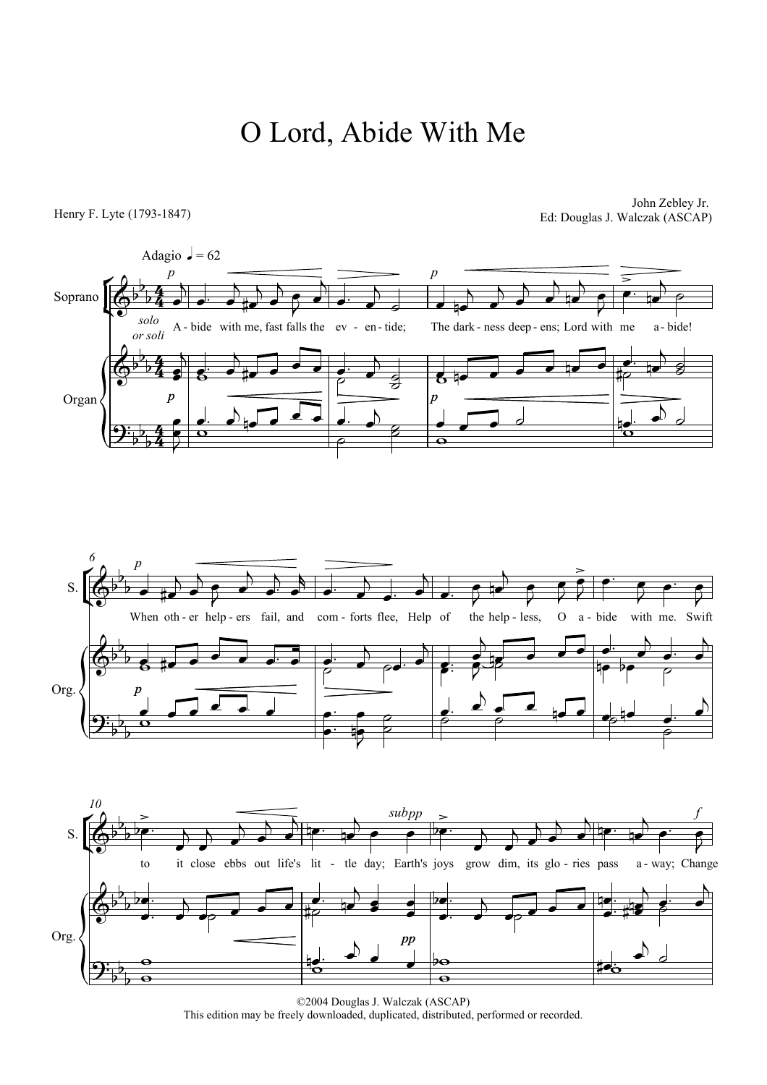## O Lord, Abide With Me

## Henry F. Lyte (1793-1847)

John Zebley Jr. Ed: Douglas J. Walczak (ASCAP)







<sup>©2004</sup> Douglas J. Walczak (ASCAP) This edition may be freely downloaded, duplicated, distributed, performed or recorded.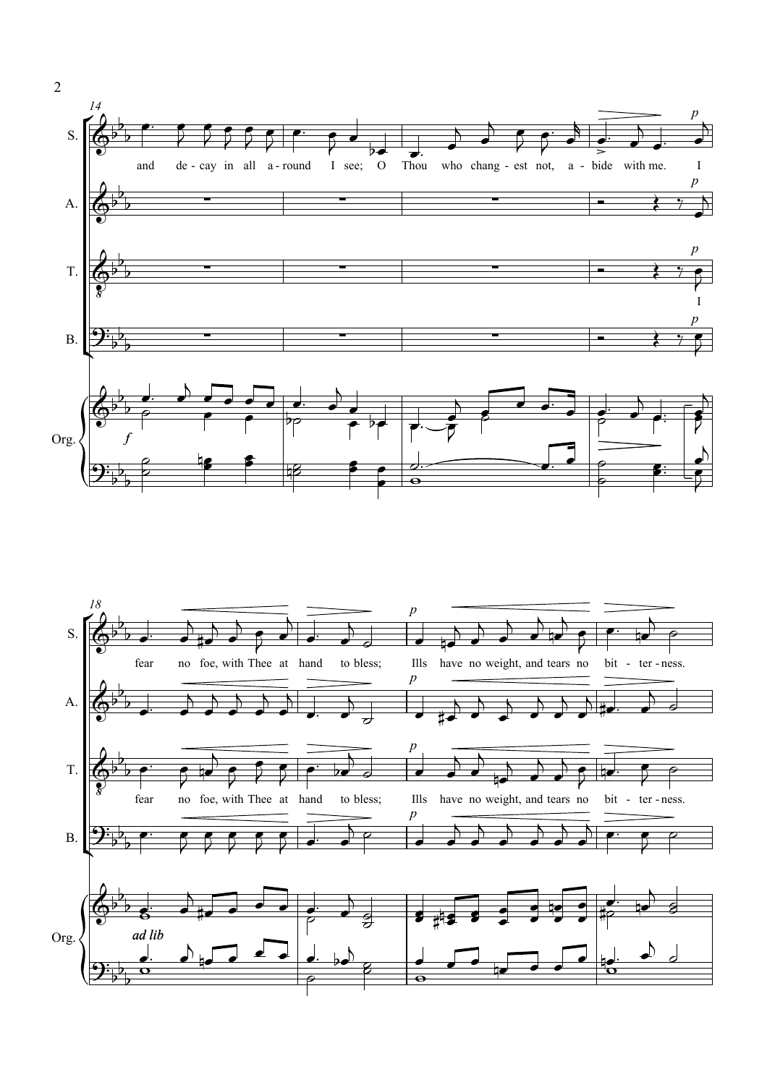



2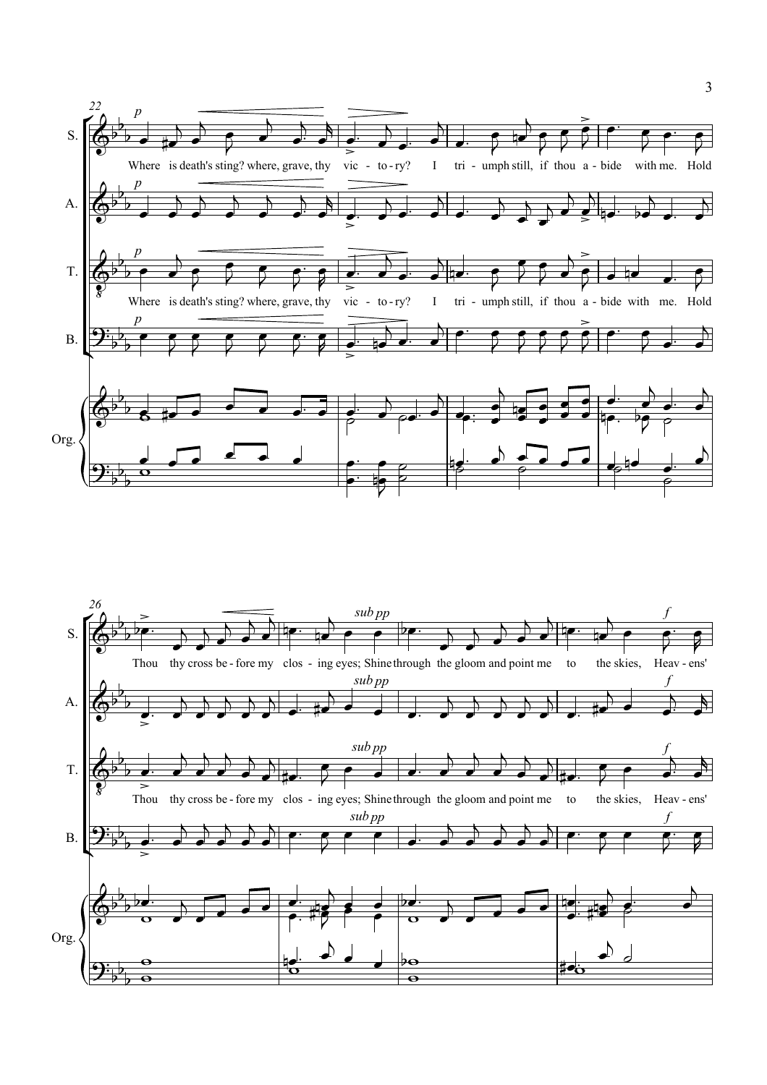